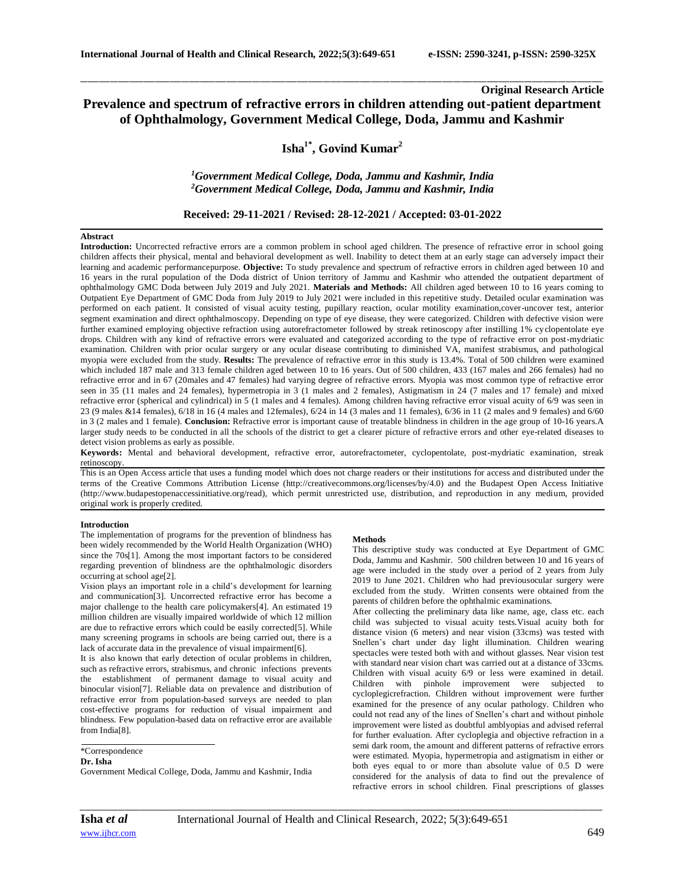# **Original Research Article Prevalence and spectrum of refractive errors in children attending out-patient department of Ophthalmology, Government Medical College, Doda, Jammu and Kashmir**

\_\_\_\_\_\_\_\_\_\_\_\_\_\_\_\_\_\_\_\_\_\_\_\_\_\_\_\_\_\_\_\_\_\_\_\_\_\_\_\_\_\_\_\_\_\_\_\_\_\_\_\_\_\_\_\_\_\_\_\_\_\_\_\_\_\_\_\_\_\_\_\_\_\_\_\_\_\_\_\_\_\_\_\_\_\_\_\_\_\_\_\_\_\_\_\_\_\_\_\_\_\_\_\_\_\_\_\_\_\_\_\_\_\_\_\_\_\_\_\_\_\_\_\_\_\_\_\_\_\_\_\_\_\_\_\_\_\_\_\_

# **Isha1\* , Govind Kumar<sup>2</sup>**

*<sup>1</sup>Government Medical College, Doda, Jammu and Kashmir, India <sup>2</sup>Government Medical College, Doda, Jammu and Kashmir, India*

## **Received: 29-11-2021 / Revised: 28-12-2021 / Accepted: 03-01-2022**

### **Abstract**

**Introduction:** Uncorrected refractive errors are a common problem in school aged children. The presence of refractive error in school going children affects their physical, mental and behavioral development as well. Inability to detect them at an early stage can adversely impact their learning and academic performancepurpose. **Objective:** To study prevalence and spectrum of refractive errors in children aged between 10 and 16 years in the rural population of the Doda district of Union territory of Jammu and Kashmir who attended the outpatient department of ophthalmology GMC Doda between July 2019 and July 2021. **Materials and Methods:** All children aged between 10 to 16 years coming to Outpatient Eye Department of GMC Doda from July 2019 to July 2021 were included in this repetitive study. Detailed ocular examination was performed on each patient. It consisted of visual acuity testing, pupillary reaction, ocular motility examination,cover-uncover test, anterior segment examination and direct ophthalmoscopy. Depending on type of eye disease, they were categorized. Children with defective vision were further examined employing objective refraction using autorefractometer followed by streak retinoscopy after instilling 1% cyclopentolate eye drops. Children with any kind of refractive errors were evaluated and categorized according to the type of refractive error on post-mydriatic examination. Children with prior ocular surgery or any ocular disease contributing to diminished VA, manifest strabismus, and pathological myopia were excluded from the study. **Results:** The prevalence of refractive error in this study is 13.4%. Total of 500 children were examined which included 187 male and 313 female children aged between 10 to 16 years. Out of 500 children, 433 (167 males and 266 females) had no refractive error and in 67 (20males and 47 females) had varying degree of refractive errors. Myopia was most common type of refractive error seen in 35 (11 males and 24 females), hypermetropia in 3 (1 males and 2 females), Astigmatism in 24 (7 males and 17 female) and mixed refractive error (spherical and cylindrical) in 5 (1 males and 4 females). Among children having refractive error visual acuity of 6/9 was seen in 23 (9 males &14 females), 6/18 in 16 (4 males and 12females), 6/24 in 14 (3 males and 11 females), 6/36 in 11 (2 males and 9 females) and 6/60 in 3 (2 males and 1 female). **Conclusion:** Refractive error is important cause of treatable blindness in children in the age group of 10-16 years.A larger study needs to be conducted in all the schools of the district to get a clearer picture of refractive errors and other eye-related diseases to detect vision problems as early as possible.

**Keywords:** Mental and behavioral development, refractive error, autorefractometer, cyclopentolate, post-mydriatic examination, streak retinoscopy.

This is an Open Access article that uses a funding model which does not charge readers or their institutions for access and distributed under the terms of the Creative Commons Attribution License (http://creativecommons.org/licenses/by/4.0) and the Budapest Open Access Initiative (http://www.budapestopenaccessinitiative.org/read), which permit unrestricted use, distribution, and reproduction in any medium, provided original work is properly credited.

### **Introduction**

The implementation of programs for the prevention of blindness has been widely recommended by the World Health Organization (WHO) since the 70s[1]. Among the most important factors to be considered regarding prevention of blindness are the ophthalmologic disorders occurring at school age[2].

Vision plays an important role in a child's development for learning and communication[3]. Uncorrected refractive error has become a major challenge to the health care policymakers[4]. An estimated 19 million children are visually impaired worldwide of which 12 million are due to refractive errors which could be easily corrected[5]. While many screening programs in schools are being carried out, there is a lack of accurate data in the prevalence of visual impairment[6].

It is also known that early detection of ocular problems in children, such as refractive errors, strabismus, and chronic infections prevents the establishment of permanent damage to visual acuity and binocular vision[7]. Reliable data on prevalence and distribution of refractive error from population-based surveys are needed to plan cost-effective programs for reduction of visual impairment and blindness. Few population-based data on refractive error are available from India[8].

## **Dr. Isha**

Government Medical College, Doda, Jammu and Kashmir, India

#### **Methods**

This descriptive study was conducted at Eye Department of GMC Doda, Jammu and Kashmir. 500 children between 10 and 16 years of age were included in the study over a period of 2 years from July 2019 to June 2021. Children who had previousocular surgery were excluded from the study. Written consents were obtained from the parents of children before the ophthalmic examinations.

After collecting the preliminary data like name, age, class etc. each child was subjected to visual acuity tests.Visual acuity both for distance vision (6 meters) and near vision (33cms) was tested with Snellen's chart under day light illumination. Children wearing spectacles were tested both with and without glasses. Near vision test with standard near vision chart was carried out at a distance of 33cms. Children with visual acuity 6/9 or less were examined in detail. Children with pinhole improvement were subjected to cycloplegicrefraction. Children without improvement were further examined for the presence of any ocular pathology. Children who could not read any of the lines of Snellen's chart and without pinhole improvement were listed as doubtful amblyopias and advised referral for further evaluation. After cycloplegia and objective refraction in a semi dark room, the amount and different patterns of refractive errors were estimated. Myopia, hypermetropia and astigmatism in either or both eyes equal to or more than absolute value of 0.5 D were considered for the analysis of data to find out the prevalence of refractive errors in school children. Final prescriptions of glasses

<sup>\*</sup>Correspondence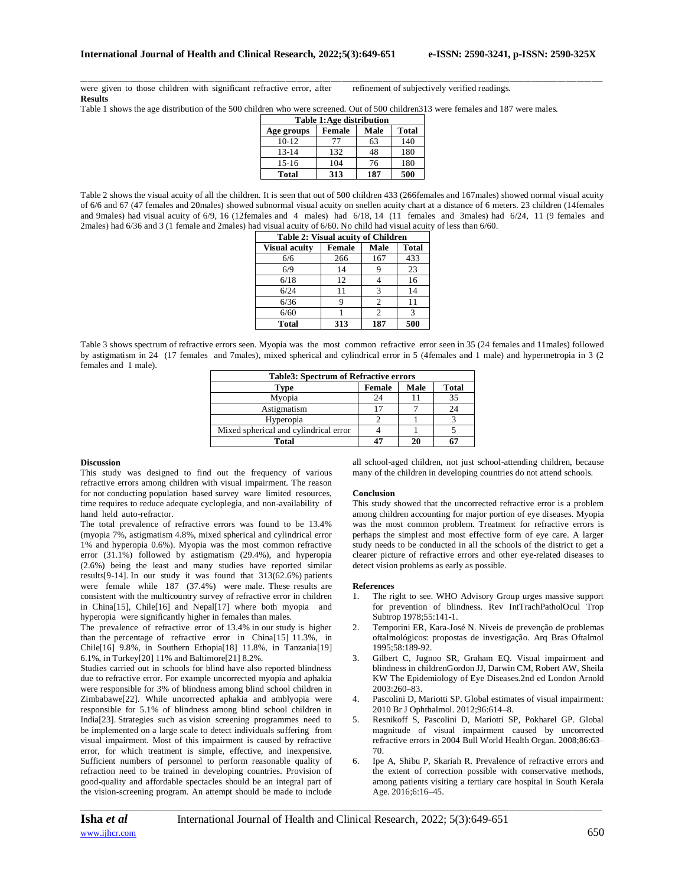\_\_\_\_\_\_\_\_\_\_\_\_\_\_\_\_\_\_\_\_\_\_\_\_\_\_\_\_\_\_\_\_\_\_\_\_\_\_\_\_\_\_\_\_\_\_\_\_\_\_\_\_\_\_\_\_\_\_\_\_\_\_\_\_\_\_\_\_\_\_\_\_\_\_\_\_\_\_\_\_\_\_\_\_\_\_\_\_\_\_\_\_\_\_\_\_\_\_\_\_\_\_\_\_\_\_\_\_\_\_\_\_\_\_\_\_\_\_\_\_\_\_\_\_\_\_\_\_\_\_\_\_\_\_\_\_\_\_\_\_ were given to those children with significant refractive error, after refinement of subjectively verified readings. **Results**

Table 1 shows the age distribution of the 500 children who were screened. Out of 500 children313 were females and 187 were males.

| Table 1:Age distribution |        |      |              |  |  |
|--------------------------|--------|------|--------------|--|--|
| Age groups               | Female | Male | <b>Total</b> |  |  |
| $10-12$                  | 77     | 63   | 140          |  |  |
| $13 - 14$                | 132    | 48   | 180          |  |  |
| $15-16$                  | 104    | 76   | 180          |  |  |
| <b>Total</b>             | 313    | 187  | 500          |  |  |

Table 2 shows the visual acuity of all the children. It is seen that out of 500 children 433 (266females and 167males) showed normal visual acuity of 6/6 and 67 (47 females and 20males) showed subnormal visual acuity on snellen acuity chart at a distance of 6 meters. 23 children (14females and 9males) had visual acuity of 6/9, 16 (12females and 4 males) had 6/18, 14 (11 females and 3males) had 6/24, 11 (9 females and 2males) had 6/36 and 3 (1 female and 2males) had visual acuity of 6/60. No child had visual acuity of less than 6/60.

| <b>Table 2: Visual acuity of Children</b> |               |                |              |  |  |  |
|-------------------------------------------|---------------|----------------|--------------|--|--|--|
| <b>Visual acuity</b>                      | <b>Female</b> | Male           | <b>Total</b> |  |  |  |
| 6/6                                       | 266           | 167            | 433          |  |  |  |
| 6/9                                       | 14            |                | 23           |  |  |  |
| 6/18                                      | 12            |                | 16           |  |  |  |
| 6/24                                      | 11            | 3              | 14           |  |  |  |
| 6/36                                      |               | $\mathfrak{D}$ | 11           |  |  |  |
| 6/60                                      |               | 2              | $\mathbf{R}$ |  |  |  |
| <b>Total</b>                              | 313           | 187            | 500          |  |  |  |

Table 3 shows spectrum of refractive errors seen. Myopia was the most common refractive error seen in 35 (24 females and 11males) followed by astigmatism in 24 (17 females and 7males), mixed spherical and cylindrical error in 5 (4females and 1 male) and hypermetropia in 3 (2 females and 1 male).

| <b>Table3: Spectrum of Refractive errors</b> |               |      |              |  |  |  |
|----------------------------------------------|---------------|------|--------------|--|--|--|
| Type                                         | <b>Female</b> | Male | <b>Total</b> |  |  |  |
| Myopia                                       |               |      | 35           |  |  |  |
| Astigmatism                                  |               |      |              |  |  |  |
| Hyperopia                                    |               |      |              |  |  |  |
| Mixed spherical and cylindrical error        |               |      |              |  |  |  |
| Total                                        |               | 20   |              |  |  |  |

#### **Discussion**

This study was designed to find out the frequency of various refractive errors among children with visual impairment. The reason for not conducting population based survey ware limited resources, time requires to reduce adequate cycloplegia, and non-availability of hand held auto-refractor.

The total prevalence of refractive errors was found to be 13.4% (myopia 7%, astigmatism 4.8%, mixed spherical and cylindrical error 1% and hyperopia 0.6%). Myopia was the most common refractive error (31.1%) followed by astigmatism (29.4%), and hyperopia (2.6%) being the least and many studies have reported similar results[9-14]. In our study it was found that 313(62.6%) patients were female while 187 (37.4%) were male. These results are consistent with the multicountry survey of refractive error in children in China[15], Chile[16] and Nepal[17] where both myopia and hyperopia were significantly higher in females than males.

The prevalence of refractive error of 13.4% in our study is higher than the percentage of refractive error in China[15] 11.3%, in Chile[16] 9.8%, in Southern Ethopia[18] 11.8%, in Tanzania[19] 6.1%, in Turkey[20] 11% and Baltimore[21] 8.2%.

Studies carried out in schools for blind have also reported blindness due to refractive error. For example uncorrected myopia and aphakia were responsible for 3% of blindness among blind school children in Zimbabawe[22]. While uncorrected aphakia and amblyopia were responsible for 5.1% of blindness among blind school children in India[23]. Strategies such as vision screening programmes need to be implemented on a large scale to detect individuals suffering from visual impairment. Most of this impairment is caused by refractive error, for which treatment is simple, effective, and inexpensive. Sufficient numbers of personnel to perform reasonable quality of refraction need to be trained in developing countries. Provision of good-quality and affordable spectacles should be an integral part of the vision-screening program. An attempt should be made to include

all school-aged children, not just school-attending children, because many of the children in developing countries do not attend schools.

#### **Conclusion**

This study showed that the uncorrected refractive error is a problem among children accounting for major portion of eye diseases. Myopia was the most common problem. Treatment for refractive errors is perhaps the simplest and most effective form of eye care. A larger study needs to be conducted in all the schools of the district to get a clearer picture of refractive errors and other eye-related diseases to detect vision problems as early as possible.

#### **References**

- 1. The right to see. WHO Advisory Group urges massive support for prevention of blindness. Rev IntTrachPatholOcul Trop Subtrop 1978;55:141-1.
- 2. Temporini ER, Kara-José N. Níveis de prevenção de problemas oftalmológicos: propostas de investigação. Arq Bras Oftalmol 1995;58:189-92.
- 3. Gilbert C, Jugnoo SR, Graham EQ. Visual impairment and blindness in childrenGordon JJ, Darwin CM, Robert AW, Sheila KW The Epidemiology of Eye Diseases.2nd ed London Arnold 2003:260–83.
- 4. Pascolini D, Mariotti SP. Global estimates of visual impairment: 2010 Br J Ophthalmol. 2012;96:614–8.
- 5. Resnikoff S, Pascolini D, Mariotti SP, Pokharel GP. Global magnitude of visual impairment caused by uncorrected refractive errors in 2004 Bull World Health Organ. 2008;86:63– 70.
- 6. Ipe A, Shibu P, Skariah R. Prevalence of refractive errors and the extent of correction possible with conservative methods, among patients visiting a tertiary care hospital in South Kerala Age. 2016;6:16–45.